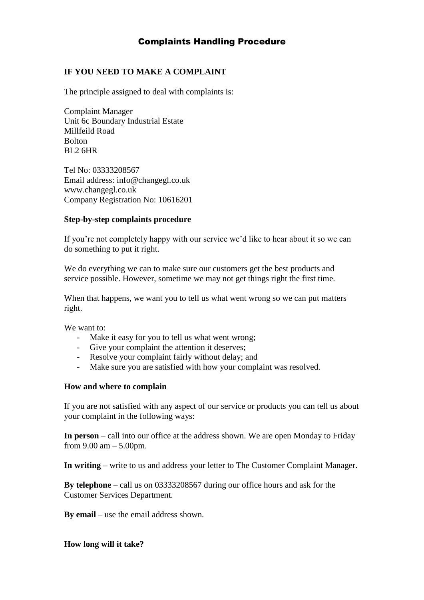## Complaints Handling Procedure

### **IF YOU NEED TO MAKE A COMPLAINT**

The principle assigned to deal with complaints is:

Complaint Manager Unit 6c Boundary Industrial Estate Millfeild Road Bolton BL2 6HR

Tel No: 03333208567 Email address: info@changegl.co.uk www.changegl.co.uk Company Registration No: 10616201

### **Step-by-step complaints procedure**

If you're not completely happy with our service we'd like to hear about it so we can do something to put it right.

We do everything we can to make sure our customers get the best products and service possible. However, sometime we may not get things right the first time.

When that happens, we want you to tell us what went wrong so we can put matters right.

We want to:

- Make it easy for you to tell us what went wrong;
- Give your complaint the attention it deserves;
- Resolve your complaint fairly without delay; and
- Make sure you are satisfied with how your complaint was resolved.

### **How and where to complain**

If you are not satisfied with any aspect of our service or products you can tell us about your complaint in the following ways:

**In person** – call into our office at the address shown. We are open Monday to Friday from 9.00 am – 5.00pm.

**In writing** – write to us and address your letter to The Customer Complaint Manager.

**By telephone** – call us on 03333208567 during our office hours and ask for the Customer Services Department.

**By email** – use the email address shown.

**How long will it take?**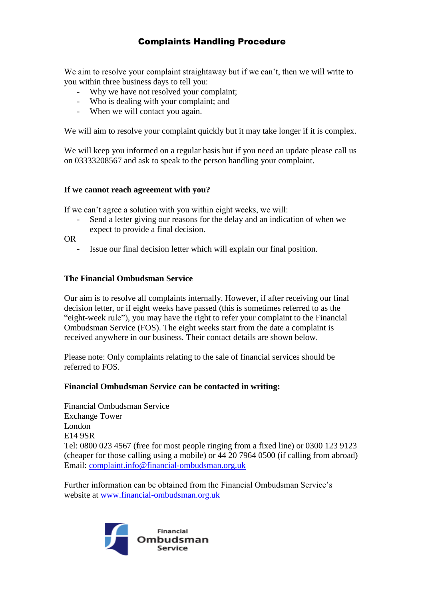# Complaints Handling Procedure

We aim to resolve your complaint straightaway but if we can't, then we will write to you within three business days to tell you:

- Why we have not resolved your complaint:
- Who is dealing with your complaint; and
- When we will contact you again.

We will aim to resolve your complaint quickly but it may take longer if it is complex.

We will keep you informed on a regular basis but if you need an update please call us on 03333208567 and ask to speak to the person handling your complaint.

### **If we cannot reach agreement with you?**

If we can't agree a solution with you within eight weeks, we will:

Send a letter giving our reasons for the delay and an indication of when we expect to provide a final decision.

OR

Issue our final decision letter which will explain our final position.

### **The Financial Ombudsman Service**

Our aim is to resolve all complaints internally. However, if after receiving our final decision letter, or if eight weeks have passed (this is sometimes referred to as the "eight-week rule"), you may have the right to refer your complaint to the Financial Ombudsman Service (FOS). The eight weeks start from the date a complaint is received anywhere in our business. Their contact details are shown below.

Please note: Only complaints relating to the sale of financial services should be referred to FOS.

### **Financial Ombudsman Service can be contacted in writing:**

Financial Ombudsman Service Exchange Tower London E14 9SR Tel: 0800 023 4567 (free for most people ringing from a fixed line) or 0300 123 9123 (cheaper for those calling using a mobile) or 44 20 7964 0500 (if calling from abroad) Email: [complaint.info@financial-ombudsman.org.uk](mailto:complaint.info@financial-ombudsman.org.uk)

Further information can be obtained from the Financial Ombudsman Service's website at [www.financial-ombudsman.org.uk](http://www.financial-ombudsman.org.uk/)